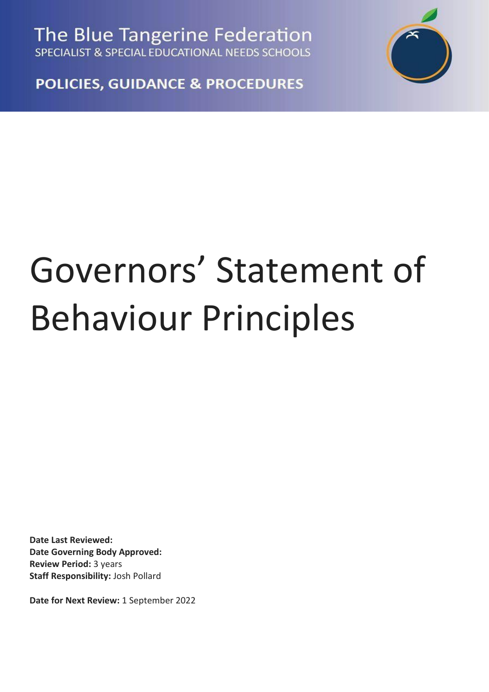The Blue Tangerine Federation SPECIALIST & SPECIAL EDUCATIONAL NEEDS SCHOOLS



**POLICIES, GUIDANCE & PROCEDURES** 

## Governors' Statement of Behaviour Principles

**Date Last Reviewed: Date Governing Body Approved: Review Period:** 3 years **Staff Responsibility:** Josh Pollard

**Date for Next Review:** 1 September 2022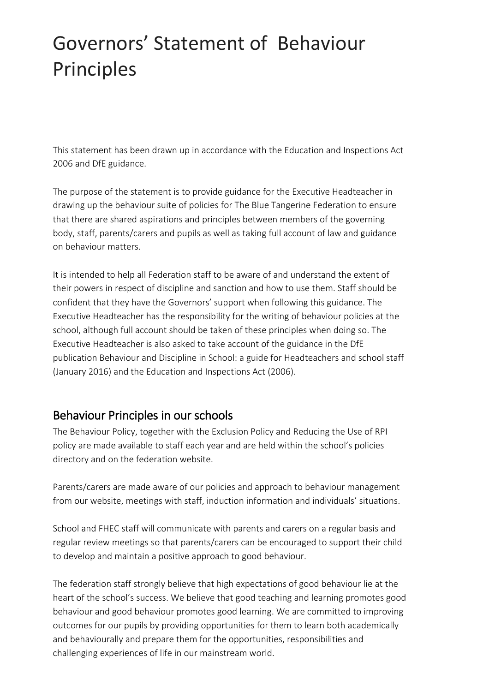## Governors' Statement of Behaviour Principles

This statement has been drawn up in accordance with the Education and Inspections Act 2006 and DfE guidance.

The purpose of the statement is to provide guidance for the Executive Headteacher in drawing up the behaviour suite of policies for The Blue Tangerine Federation to ensure that there are shared aspirations and principles between members of the governing body, staff, parents/carers and pupils as well as taking full account of law and guidance on behaviour matters.

It is intended to help all Federation staff to be aware of and understand the extent of their powers in respect of discipline and sanction and how to use them. Staff should be confident that they have the Governors' support when following this guidance. The Executive Headteacher has the responsibility for the writing of behaviour policies at the school, although full account should be taken of these principles when doing so. The Executive Headteacher is also asked to take account of the guidance in the DfE publication Behaviour and Discipline in School: a guide for Headteachers and school staff (January 2016) and the Education and Inspections Act (2006).

## Behaviour Principles in our schools

The Behaviour Policy, together with the Exclusion Policy and Reducing the Use of RPI policy are made available to staff each year and are held within the school's policies directory and on the federation website.

Parents/carers are made aware of our policies and approach to behaviour management from our website, meetings with staff, induction information and individuals' situations.

School and FHEC staff will communicate with parents and carers on a regular basis and regular review meetings so that parents/carers can be encouraged to support their child to develop and maintain a positive approach to good behaviour.

The federation staff strongly believe that high expectations of good behaviour lie at the heart of the school's success. We believe that good teaching and learning promotes good behaviour and good behaviour promotes good learning. We are committed to improving outcomes for our pupils by providing opportunities for them to learn both academically and behaviourally and prepare them for the opportunities, responsibilities and challenging experiences of life in our mainstream world.